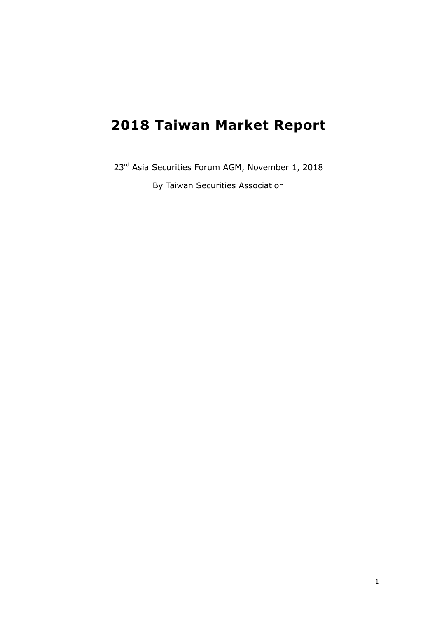# **2018 Taiwan Market Report**

23<sup>rd</sup> Asia Securities Forum AGM, November 1, 2018 By Taiwan Securities Association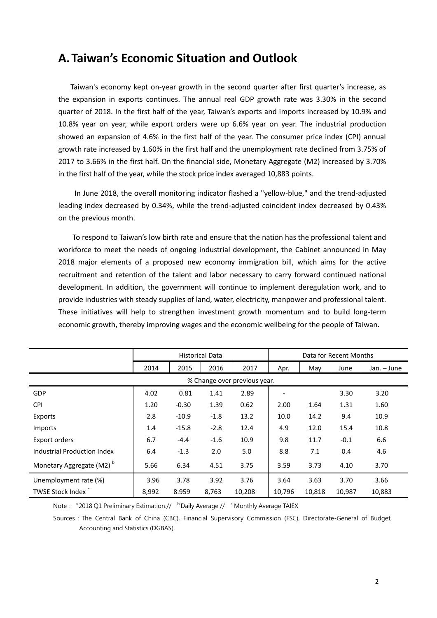# **A.Taiwan's Economic Situation and Outlook**

Taiwan's economy kept on-year growth in the second quarter after first quarter's increase, as the expansion in exports continues. The annual real GDP growth rate was 3.30% in the second quarter of 2018. In the first half of the year, Taiwan's exports and imports increased by 10.9% and 10.8% year on year, while export orders were up 6.6% year on year. The industrial production showed an expansion of 4.6% in the first half of the year. The consumer price index (CPI) annual growth rate increased by 1.60% in the first half and the unemployment rate declined from 3.75% of 2017 to 3.66% in the first half. On the financial side, Monetary Aggregate (M2) increased by 3.70% in the first half of the year, while the stock price index averaged 10,883 points.

In June 2018, the overall monitoring indicator flashed a "yellow-blue," and the trend-adjusted leading index decreased by 0.34%, while the trend-adjusted coincident index decreased by 0.43% on the previous month.

To respond to Taiwan's low birth rate and ensure that the nation has the professional talent and workforce to meet the needs of ongoing industrial development, the Cabinet announced in May 2018 major elements of a proposed new economy immigration bill, which aims for the active recruitment and retention of the talent and labor necessary to carry forward continued national development. In addition, the government will continue to implement deregulation work, and to provide industries with steady supplies of land, water, electricity, manpower and professional talent. These initiatives will help to strengthen investment growth momentum and to build long-term economic growth, thereby improving wages and the economic wellbeing for the people of Taiwan.

|                                      | <b>Historical Data</b> |         |        |        | Data for Recent Months |        |        |             |
|--------------------------------------|------------------------|---------|--------|--------|------------------------|--------|--------|-------------|
|                                      | 2014                   | 2015    | 2016   | 2017   | Apr.                   | May    | June   | Jan. - June |
| % Change over previous year.         |                        |         |        |        |                        |        |        |             |
| <b>GDP</b>                           | 4.02                   | 0.81    | 1.41   | 2.89   |                        |        | 3.30   | 3.20        |
| <b>CPI</b>                           | 1.20                   | $-0.30$ | 1.39   | 0.62   | 2.00                   | 1.64   | 1.31   | 1.60        |
| Exports                              | 2.8                    | $-10.9$ | $-1.8$ | 13.2   | 10.0                   | 14.2   | 9.4    | 10.9        |
| Imports                              | 1.4                    | $-15.8$ | $-2.8$ | 12.4   | 4.9                    | 12.0   | 15.4   | 10.8        |
| Export orders                        | 6.7                    | $-4.4$  | $-1.6$ | 10.9   | 9.8                    | 11.7   | $-0.1$ | 6.6         |
| Industrial Production Index          | 6.4                    | $-1.3$  | 2.0    | 5.0    | 8.8                    | 7.1    | 0.4    | 4.6         |
| Monetary Aggregate (M2) <sup>b</sup> | 5.66                   | 6.34    | 4.51   | 3.75   | 3.59                   | 3.73   | 4.10   | 3.70        |
| Unemployment rate (%)                | 3.96                   | 3.78    | 3.92   | 3.76   | 3.64                   | 3.63   | 3.70   | 3.66        |
| TWSE Stock Index <sup>c</sup>        | 8,992                  | 8.959   | 8,763  | 10,208 | 10,796                 | 10,818 | 10,987 | 10,883      |

Note: <sup>a</sup> 2018 Q1 Preliminary Estimation.// b Daily Average // <sup>c</sup> Monthly Average TAIEX

Sources: The Central Bank of China (CBC), Financial Supervisory Commission (FSC), Directorate-General of Budget, Accounting and Statistics (DGBAS).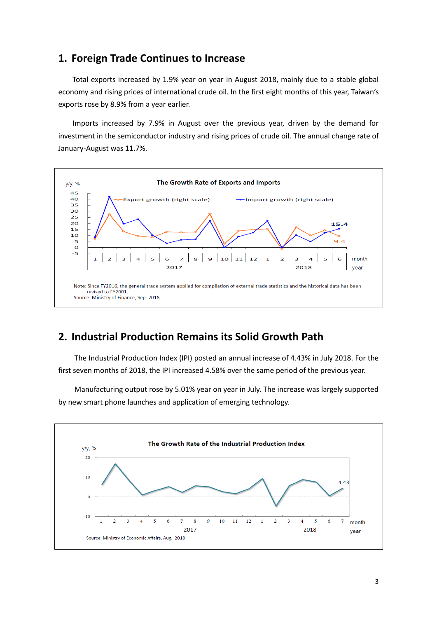#### **1. Foreign Trade Continues to Increase**

Total exports increased by 1.9% year on year in August 2018, mainly due to a stable global economy and rising prices of international crude oil. In the first eight months of this year, Taiwan's exports rose by 8.9% from a year earlier.

Imports increased by 7.9% in August over the previous year, driven by the demand for investment in the semiconductor industry and rising prices of crude oil. The annual change rate of January-August was 11.7%.



### **2. Industrial Production Remains its Solid Growth Path**

The Industrial Production Index (IPI) posted an annual increase of 4.43% in July 2018. For the first seven months of 2018, the IPI increased 4.58% over the same period of the previous year.

Manufacturing output rose by 5.01% year on year in July. The increase was largely supported by new smart phone launches and application of emerging technology.

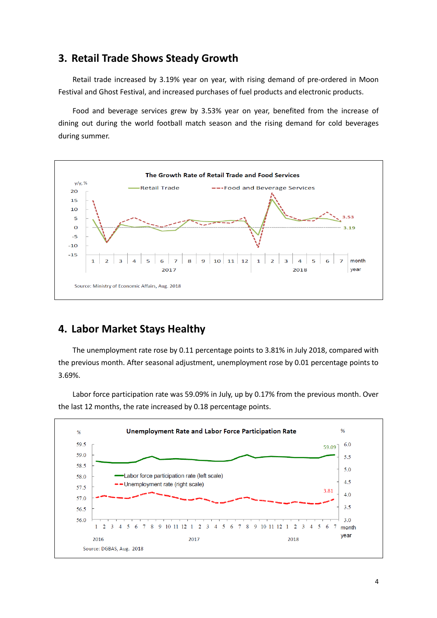### **3. Retail Trade Shows Steady Growth**

Retail trade increased by 3.19% year on year, with rising demand of pre-ordered in Moon Festival and Ghost Festival, and increased purchases of fuel products and electronic products.

Food and beverage services grew by 3.53% year on year, benefited from the increase of dining out during the world football match season and the rising demand for cold beverages during summer.



### **4. Labor Market Stays Healthy**

The unemployment rate rose by 0.11 percentage points to 3.81% in July 2018, compared with the previous month. After seasonal adjustment, unemployment rose by 0.01 percentage points to 3.69%.

Labor force participation rate was 59.09% in July, up by 0.17% from the previous month. Over the last 12 months, the rate increased by 0.18 percentage points.

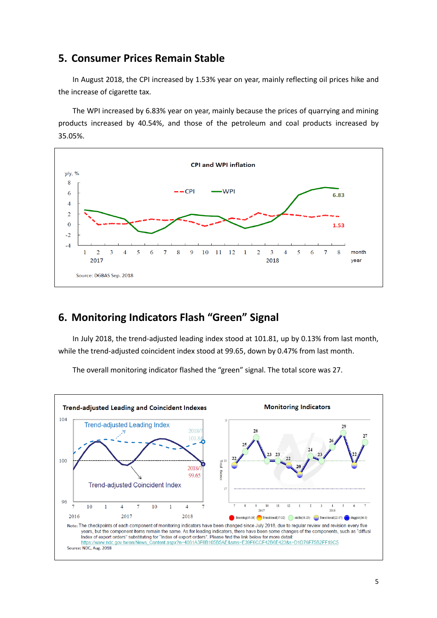#### **5. Consumer Prices Remain Stable**

In August 2018, the CPI increased by 1.53% year on year, mainly reflecting oil prices hike and the increase of cigarette tax.

The WPI increased by 6.83% year on year, mainly because the prices of quarrying and mining products increased by 40.54%, and those of the petroleum and coal products increased by 35.05%.



### **6. Monitoring Indicators Flash "Green" Signal**

In July 2018, the trend-adjusted leading index stood at 101.81, up by 0.13% from last month, while the trend-adjusted coincident index stood at 99.65, down by 0.47% from last month.

**Trend-adjusted Leading and Coincident Indexes Monitoring Indicators**  $104$ **Trend-adjusted Leading Index** 29 2018  $101.$ g<br>Total Scores 100 2018 99.65 **Trend-adjusted Coincident Index** 96 10  $12$  $\mathbf{1}$  $\overline{4}$ 7 10  $\mathbf{1}$  $\overline{4}$  $\overline{10}$ 11 2017 2018 2016  $201'$ 2018  $ng(45-38)$  Tran  $\text{ional}(37-32)$   $\qquad$  stable(31-23)  $\qquad$  Transitional(22-17) Note: The checkpoints of each component of monitoring indicators have been changed since July 2018, due to regular review and revision every five years, but the component items remain the same. As for leading indicators, there have been some changes of the components, such as "diffusi Index of export orders" substituting for "Index of export orders". Please find the link below for more detail: Content.aspx?n=4061A3F0B105B5AE&sms=E39F6CCF42B6E423&s=D1D76F75B2FF19C5 https://www.ndc.gov.tw/en/News Source: NDC, Aug. 2018

The overall monitoring indicator flashed the "green" signal. The total score was 27.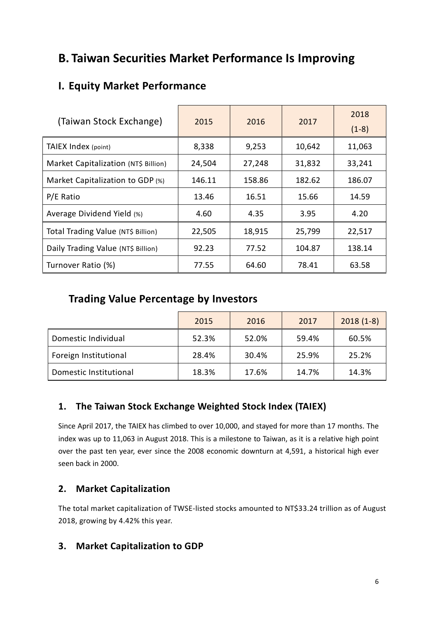# **B. Taiwan Securities Market Performance Is Improving**

# **I. Equity Market Performance**

| (Taiwan Stock Exchange)              | 2015   | 2016   | 2017   | 2018<br>$(1-8)$ |
|--------------------------------------|--------|--------|--------|-----------------|
| TAIEX Index (point)                  | 8,338  | 9,253  | 10,642 | 11,063          |
| Market Capitalization (NT\$ Billion) | 24,504 | 27,248 | 31,832 | 33,241          |
| Market Capitalization to GDP (%)     | 146.11 | 158.86 | 182.62 | 186.07          |
| P/E Ratio                            | 13.46  | 16.51  | 15.66  | 14.59           |
| Average Dividend Yield (%)           | 4.60   | 4.35   | 3.95   | 4.20            |
| Total Trading Value (NT\$ Billion)   | 22,505 | 18,915 | 25,799 | 22,517          |
| Daily Trading Value (NT\$ Billion)   | 92.23  | 77.52  | 104.87 | 138.14          |
| Turnover Ratio (%)                   | 77.55  | 64.60  | 78.41  | 63.58           |

# **Trading Value Percentage by Investors**

|                        | 2015  | 2016  | 2017  | $2018(1-8)$ |
|------------------------|-------|-------|-------|-------------|
| Domestic Individual    | 52.3% | 52.0% | 59.4% | 60.5%       |
| Foreign Institutional  | 28.4% | 30.4% | 25.9% | 25.2%       |
| Domestic Institutional | 18.3% | 17.6% | 14.7% | 14.3%       |

### **1. The Taiwan Stock Exchange Weighted Stock Index (TAIEX)**

Since April 2017, the TAIEX has climbed to over 10,000, and stayed for more than 17 months. The index was up to 11,063 in August 2018. This is a milestone to Taiwan, as it is a relative high point over the past ten year, ever since the 2008 economic downturn at 4,591, a historical high ever seen back in 2000.

### **2. Market Capitalization**

The total market capitalization of TWSE-listed stocks amounted to NT\$33.24 trillion as of August 2018, growing by 4.42% this year.

### **3. Market Capitalization to GDP**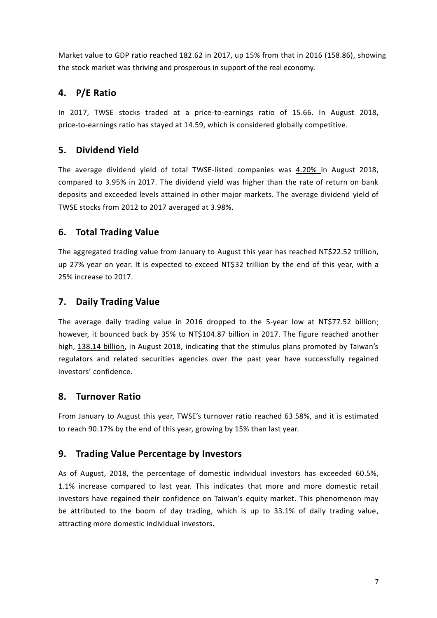Market value to GDP ratio reached 182.62 in 2017, up 15% from that in 2016 (158.86), showing the stock market was thriving and prosperous in support of the real economy.

### **4. P/E Ratio**

In 2017, TWSE stocks traded at a price-to-earnings ratio of 15.66. In August 2018, price-to-earnings ratio has stayed at 14.59, which is considered globally competitive.

### **5. Dividend Yield**

The average dividend yield of total TWSE-listed companies was 4.20% in August 2018, compared to 3.95% in 2017. The dividend yield was higher than the rate of return on bank deposits and exceeded levels attained in other major markets. The average dividend yield of TWSE stocks from 2012 to 2017 averaged at 3.98%.

### **6. Total Trading Value**

The aggregated trading value from January to August this year has reached NT\$22.52 trillion, up 27% year on year. It is expected to exceed NT\$32 trillion by the end of this year, with a 25% increase to 2017.

### **7. Daily Trading Value**

The average daily trading value in 2016 dropped to the 5-year low at NT\$77.52 billion; however, it bounced back by 35% to NT\$104.87 billion in 2017. The figure reached another high, 138.14 billion, in August 2018, indicating that the stimulus plans promoted by Taiwan's regulators and related securities agencies over the past year have successfully regained investors' confidence.

### **8. Turnover Ratio**

From January to August this year, TWSE's turnover ratio reached 63.58%, and it is estimated to reach 90.17% by the end of this year, growing by 15% than last year.

### **9. Trading Value Percentage by Investors**

As of August, 2018, the percentage of domestic individual investors has exceeded 60.5%, 1.1% increase compared to last year. This indicates that more and more domestic retail investors have regained their confidence on Taiwan's equity market. This phenomenon may be attributed to the boom of day trading, which is up to 33.1% of daily trading value, attracting more domestic individual investors.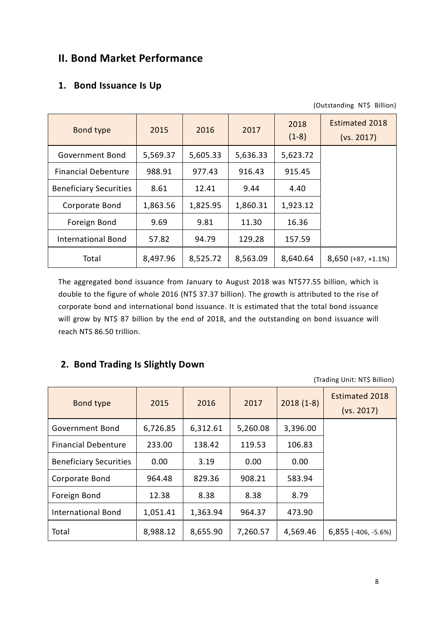# **II. Bond Market Performance**

### **1. Bond Issuance Is Up**

| (Outstanding NT\$ Billion) |  |
|----------------------------|--|
|                            |  |

| Bond type                     | 2015     | 2016     | 2017     | 2018<br>$(1-8)$ | <b>Estimated 2018</b><br>(vs. 2017) |
|-------------------------------|----------|----------|----------|-----------------|-------------------------------------|
| Government Bond               | 5,569.37 | 5,605.33 | 5,636.33 | 5,623.72        |                                     |
| <b>Financial Debenture</b>    | 988.91   | 977.43   | 916.43   | 915.45          |                                     |
| <b>Beneficiary Securities</b> | 8.61     | 12.41    | 9.44     | 4.40            |                                     |
| Corporate Bond                | 1,863.56 | 1,825.95 | 1,860.31 | 1,923.12        |                                     |
| Foreign Bond                  | 9.69     | 9.81     | 11.30    | 16.36           |                                     |
| <b>International Bond</b>     | 57.82    | 94.79    | 129.28   | 157.59          |                                     |
| Total                         | 8,497.96 | 8,525.72 | 8,563.09 | 8,640.64        | $8,650 (+87, +1.1%)$                |

The aggregated bond issuance from January to August 2018 was NT\$77.55 billion, which is double to the figure of whole 2016 (NT\$ 37.37 billion). The growth is attributed to the rise of corporate bond and international bond issuance. It is estimated that the total bond issuance will grow by NT\$ 87 billion by the end of 2018, and the outstanding on bond issuance will reach NTS 86.50 trillion.

### **2. Bond Trading Is Slightly Down**

(Trading Unit: NT\$ Billion)

| <b>Bond type</b>              | 2015     | 2016     | 2017     | $2018(1-8)$ | <b>Estimated 2018</b><br>(vs. 2017) |
|-------------------------------|----------|----------|----------|-------------|-------------------------------------|
| Government Bond               | 6,726.85 | 6,312.61 | 5,260.08 | 3,396.00    |                                     |
| <b>Financial Debenture</b>    | 233.00   | 138.42   | 119.53   | 106.83      |                                     |
| <b>Beneficiary Securities</b> | 0.00     | 3.19     | 0.00     | 0.00        |                                     |
| Corporate Bond                | 964.48   | 829.36   | 908.21   | 583.94      |                                     |
| Foreign Bond                  | 12.38    | 8.38     | 8.38     | 8.79        |                                     |
| <b>International Bond</b>     | 1,051.41 | 1,363.94 | 964.37   | 473.90      |                                     |
| Total                         | 8,988.12 | 8,655.90 | 7,260.57 | 4,569.46    | 6,855 (-406, -5.6%)                 |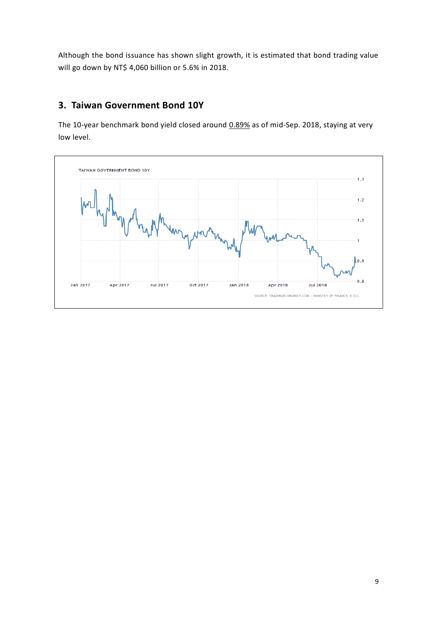Although the bond issuance has shown slight growth, it is estimated that bond trading value will go down by NT\$ 4,060 billion or 5.6% in 2018.

### **3. Taiwan Government Bond 10Y**

The 10-year benchmark bond yield closed around 0.89% as of mid-Sep. 2018, staying at very low level.

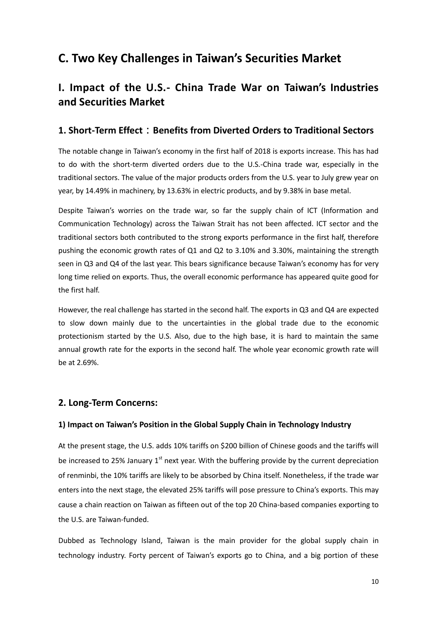# **C. Two Key Challenges in Taiwan's Securities Market**

# **I. Impact of the U.S.- China Trade War on Taiwan's Industries and Securities Market**

#### **1. Short-Term Effect**:**Benefits from Diverted Orders to Traditional Sectors**

The notable change in Taiwan's economy in the first half of 2018 is exports increase. This has had to do with the short-term diverted orders due to the U.S.-China trade war, especially in the traditional sectors. The value of the major products orders from the U.S. year to July grew year on year, by 14.49% in machinery, by 13.63% in electric products, and by 9.38% in base metal.

Despite Taiwan's worries on the trade war, so far the supply chain of ICT (Information and Communication Technology) across the Taiwan Strait has not been affected. ICT sector and the traditional sectors both contributed to the strong exports performance in the first half, therefore pushing the economic growth rates of Q1 and Q2 to 3.10% and 3.30%, maintaining the strength seen in Q3 and Q4 of the last year. This bears significance because Taiwan's economy has for very long time relied on exports. Thus, the overall economic performance has appeared quite good for the first half.

However, the real challenge has started in the second half. The exports in Q3 and Q4 are expected to slow down mainly due to the uncertainties in the global trade due to the economic protectionism started by the U.S. Also, due to the high base, it is hard to maintain the same annual growth rate for the exports in the second half. The whole year economic growth rate will be at 2.69%.

#### **2. Long-Term Concerns:**

#### **1) Impact on Taiwan's Position in the Global Supply Chain in Technology Industry**

At the present stage, the U.S. adds 10% tariffs on \$200 billion of Chinese goods and the tariffs will be increased to 25% January  $1<sup>st</sup>$  next year. With the buffering provide by the current depreciation of renminbi, the 10% tariffs are likely to be absorbed by China itself. Nonetheless, if the trade war enters into the next stage, the elevated 25% tariffs will pose pressure to China's exports. This may cause a chain reaction on Taiwan as fifteen out of the top 20 China-based companies exporting to the U.S. are Taiwan-funded.

Dubbed as Technology Island, Taiwan is the main provider for the global supply chain in technology industry. Forty percent of Taiwan's exports go to China, and a big portion of these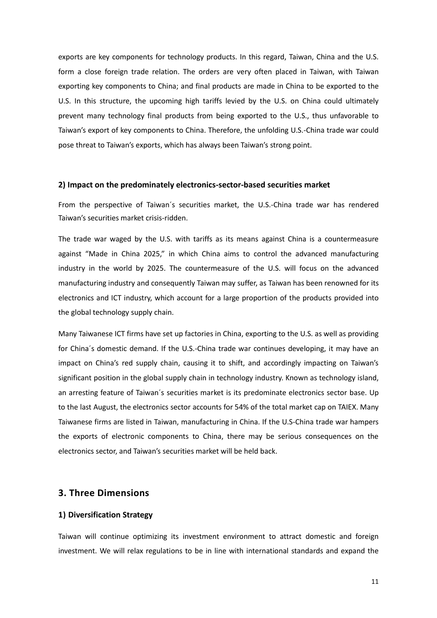exports are key components for technology products. In this regard, Taiwan, China and the U.S. form a close foreign trade relation. The orders are very often placed in Taiwan, with Taiwan exporting key components to China; and final products are made in China to be exported to the U.S. In this structure, the upcoming high tariffs levied by the U.S. on China could ultimately prevent many technology final products from being exported to the U.S., thus unfavorable to Taiwan's export of key components to China. Therefore, the unfolding U.S.-China trade war could pose threat to Taiwan's exports, which has always been Taiwan's strong point.

#### **2) Impact on the predominately electronics-sector-based securities market**

From the perspective of Taiwan´s securities market, the U.S.-China trade war has rendered Taiwan's securities market crisis-ridden.

The trade war waged by the U.S. with tariffs as its means against China is a countermeasure against "Made in China 2025," in which China aims to control the advanced manufacturing industry in the world by 2025. The countermeasure of the U.S. will focus on the advanced manufacturing industry and consequently Taiwan may suffer, as Taiwan has been renowned for its electronics and ICT industry, which account for a large proportion of the products provided into the global technology supply chain.

Many Taiwanese ICT firms have set up factories in China, exporting to the U.S. as well as providing for China´s domestic demand. If the U.S.-China trade war continues developing, it may have an impact on China's red supply chain, causing it to shift, and accordingly impacting on Taiwan's significant position in the global supply chain in technology industry. Known as technology island, an arresting feature of Taiwan´s securities market is its predominate electronics sector base. Up to the last August, the electronics sector accounts for 54% of the total market cap on TAIEX. Many Taiwanese firms are listed in Taiwan, manufacturing in China. If the U.S-China trade war hampers the exports of electronic components to China, there may be serious consequences on the electronics sector, and Taiwan's securities market will be held back.

#### **3. Three Dimensions**

#### **1) Diversification Strategy**

Taiwan will continue optimizing its investment environment to attract domestic and foreign investment. We will relax regulations to be in line with international standards and expand the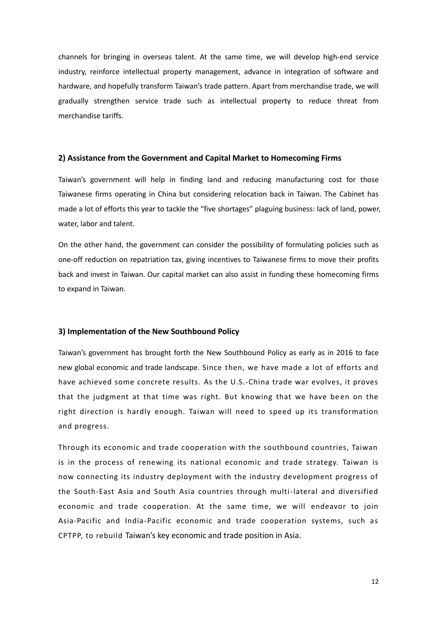channels for bringing in overseas talent. At the same time, we will develop high-end service industry, reinforce intellectual property management, advance in integration of software and hardware, and hopefully transform Taiwan's trade pattern. Apart from merchandise trade, we will gradually strengthen service trade such as intellectual property to reduce threat from merchandise tariffs.

#### **2) Assistance from the Government and Capital Market to Homecoming Firms**

Taiwan's government will help in finding land and reducing manufacturing cost for those Taiwanese firms operating in China but considering relocation back in Taiwan. The Cabinet has made a lot of efforts this year to tackle the "five shortages" plaguing business: lack of land, power, water, labor and talent.

On the other hand, the government can consider the possibility of formulating policies such as one-off reduction on repatriation tax, giving incentives to Taiwanese firms to move their profits back and invest in Taiwan. Our capital market can also assist in funding these homecoming firms to expand in Taiwan.

#### **3) Implementation of the New Southbound Policy**

Taiwan's government has brought forth the New Southbound Policy as early as in 2016 to face new global economic and trade landscape. Since then, we have made a lot of efforts and have achieved some concrete results. As the U.S.-China trade war evolves, it proves that the judgment at that time was right. But knowing that we have been on the right direction is hardly enough. Taiwan will need to speed up its transformation and progress.

Through its economic and trade cooperation with the southbound countries, Taiwan is in the process of renewing its national economic and trade strategy. Taiwan is now connecting its industry deployment with the industry development progress of the South-East Asia and South Asia countries through multi-lateral and diversified economic and trade cooperation. At the same time, we will endeavor to join Asia-Pacific and India-Pacific economic and trade cooperation systems, such as CPTPP, to rebuild Taiwan's key economic and trade position in Asia.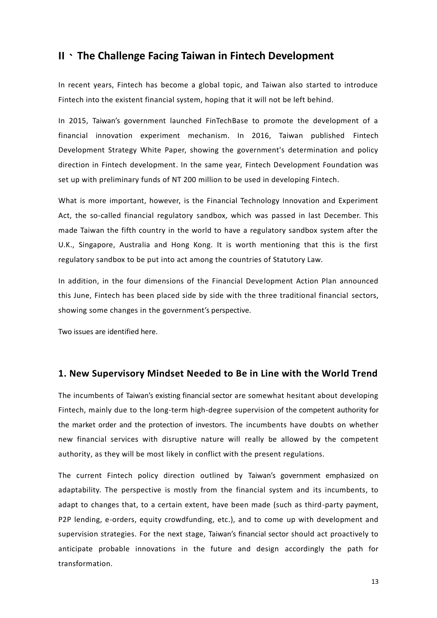### **II**、**The Challenge Facing Taiwan in Fintech Development**

In recent years, Fintech has become a global topic, and Taiwan also started to introduce Fintech into the existent financial system, hoping that it will not be left behind.

In 2015, Taiwan's government launched FinTechBase to promote the development of a financial innovation experiment mechanism. In 2016, Taiwan published Fintech Development Strategy White Paper, showing the government's determination and policy direction in Fintech development. In the same year, Fintech Development Foundation was set up with preliminary funds of NT 200 million to be used in developing Fintech.

What is more important, however, is the Financial Technology Innovation and Experiment Act, the so-called financial regulatory sandbox, which was passed in last December. This made Taiwan the fifth country in the world to have a regulatory sandbox system after the U.K., Singapore, Australia and Hong Kong. It is worth mentioning that this is the first regulatory sandbox to be put into act among the countries of Statutory Law.

In addition, in the four dimensions of the Financial Development Action Plan announced this June, Fintech has been placed side by side with the three traditional financial sectors, showing some changes in the government's perspective.

Two issues are identified here.

#### **1. New Supervisory Mindset Needed to Be in Line with the World Trend**

The incumbents of Taiwan's existing financial sector are somewhat hesitant about developing Fintech, mainly due to the long-term high-degree supervision of the competent authority for the market order and the protection of investors. The incumbents have doubts on whether new financial services with disruptive nature will really be allowed by the competent authority, as they will be most likely in conflict with the present regulations.

The current Fintech policy direction outlined by Taiwan's government emphasized on adaptability. The perspective is mostly from the financial system and its incumbents, to adapt to changes that, to a certain extent, have been made (such as third-party payment, P2P lending, e-orders, equity crowdfunding, etc.), and to come up with development and supervision strategies. For the next stage, Taiwan's financial sector should act proactively to anticipate probable innovations in the future and design accordingly the path for transformation.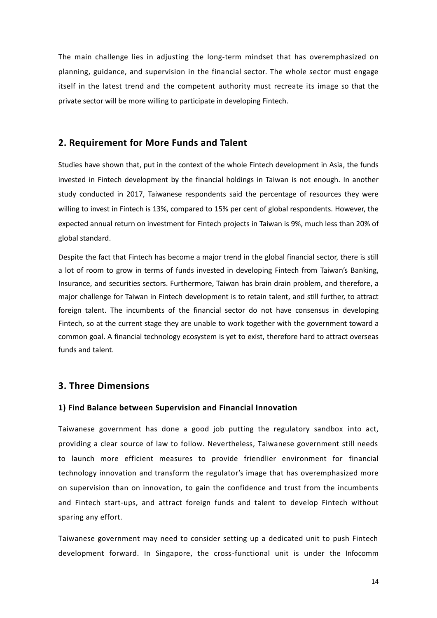The main challenge lies in adjusting the long-term mindset that has overemphasized on planning, guidance, and supervision in the financial sector. The whole sector must engage itself in the latest trend and the competent authority must recreate its image so that the private sector will be more willing to participate in developing Fintech.

#### **2. Requirement for More Funds and Talent**

Studies have shown that, put in the context of the whole Fintech development in Asia, the funds invested in Fintech development by the financial holdings in Taiwan is not enough. In another study conducted in 2017, Taiwanese respondents said the percentage of resources they were willing to invest in Fintech is 13%, compared to 15% per cent of global respondents. However, the expected annual return on investment for Fintech projects in Taiwan is 9%, much less than 20% of global standard.

Despite the fact that Fintech has become a major trend in the global financial sector, there is still a lot of room to grow in terms of funds invested in developing Fintech from Taiwan's Banking, Insurance, and securities sectors. Furthermore, Taiwan has brain drain problem, and therefore, a major challenge for Taiwan in Fintech development is to retain talent, and still further, to attract foreign talent. The incumbents of the financial sector do not have consensus in developing Fintech, so at the current stage they are unable to work together with the government toward a common goal. A financial technology ecosystem is yet to exist, therefore hard to attract overseas funds and talent.

#### **3. Three Dimensions**

#### **1) Find Balance between Supervision and Financial Innovation**

Taiwanese government has done a good job putting the regulatory sandbox into act, providing a clear source of law to follow. Nevertheless, Taiwanese government still needs to launch more efficient measures to provide friendlier environment for financial technology innovation and transform the regulator's image that has overemphasized more on supervision than on innovation, to gain the confidence and trust from the incumbents and Fintech start-ups, and attract foreign funds and talent to develop Fintech without sparing any effort.

Taiwanese government may need to consider setting up a dedicated unit to push Fintech development forward. In Singapore, the cross-functional unit is under the Infocomm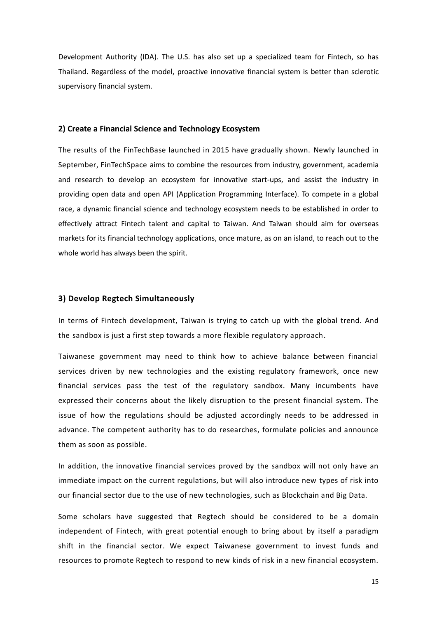Development Authority (IDA). The U.S. has also set up a specialized team for Fintech, so has Thailand. Regardless of the model, proactive innovative financial system is better than sclerotic supervisory financial system.

#### **2) Create a Financial Science and Technology Ecosystem**

The results of the FinTechBase launched in 2015 have gradually shown. Newly launched in September, FinTechSpace aims to combine the resources from industry, government, academia and research to develop an ecosystem for innovative start-ups, and assist the industry in providing open data and open API (Application Programming Interface). To compete in a global race, a dynamic financial science and technology ecosystem needs to be established in order to effectively attract Fintech talent and capital to Taiwan. And Taiwan should aim for overseas markets for its financial technology applications, once mature, as on an island, to reach out to the whole world has always been the spirit.

#### **3) Develop Regtech Simultaneously**

In terms of Fintech development, Taiwan is trying to catch up with the global trend. And the sandbox is just a first step towards a more flexible regulatory approach.

Taiwanese government may need to think how to achieve balance between financial services driven by new technologies and the existing regulatory framework, once new financial services pass the test of the regulatory sandbox. Many incumbents have expressed their concerns about the likely disruption to the present financial system. The issue of how the regulations should be adjusted accordingly needs to be addressed in advance. The competent authority has to do researches, formulate policies and announce them as soon as possible.

In addition, the innovative financial services proved by the sandbox will not only have an immediate impact on the current regulations, but will also introduce new types of risk into our financial sector due to the use of new technologies, such as Blockchain and Big Data.

Some scholars have suggested that Regtech should be considered to be a domain independent of Fintech, with great potential enough to bring about by itself a paradigm shift in the financial sector. We expect Taiwanese government to invest funds and resources to promote Regtech to respond to new kinds of risk in a new financial ecosystem.